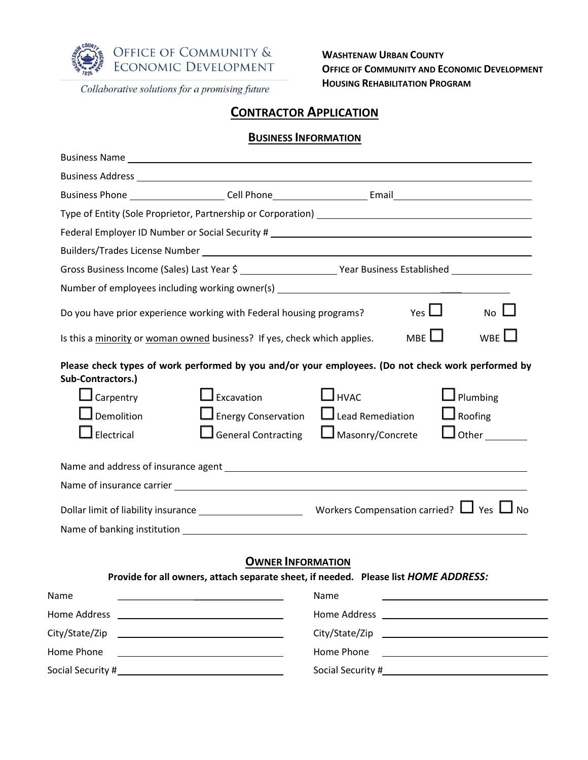

Collaborative solutions for a promising future

**WASHTENAW URBAN COUNTY OFFICE OF COMMUNITY AND ECONOMIC DEVELOPMENT HOUSING REHABILITATION PROGRAM**

## **CONTRACTOR APPLICATION**

#### **BUSINESS INFORMATION**

| Business Address Later and Communications and Communications and Communications and Communications and Communications and Communications and Communications and Communications and Communications and Communications and Commu |                                                                               |                                                                                                                                                                                                                                |            |                                                                            |
|--------------------------------------------------------------------------------------------------------------------------------------------------------------------------------------------------------------------------------|-------------------------------------------------------------------------------|--------------------------------------------------------------------------------------------------------------------------------------------------------------------------------------------------------------------------------|------------|----------------------------------------------------------------------------|
| Business Phone ______________________Cell Phone__________________________________                                                                                                                                              |                                                                               |                                                                                                                                                                                                                                |            |                                                                            |
| Type of Entity (Sole Proprietor, Partnership or Corporation) [1982] [2012] [2012] [2012] [2012] [2012] [2012] [                                                                                                                |                                                                               |                                                                                                                                                                                                                                |            |                                                                            |
|                                                                                                                                                                                                                                |                                                                               |                                                                                                                                                                                                                                |            |                                                                            |
|                                                                                                                                                                                                                                |                                                                               |                                                                                                                                                                                                                                |            |                                                                            |
|                                                                                                                                                                                                                                |                                                                               |                                                                                                                                                                                                                                |            |                                                                            |
| Number of employees including working owner(s) __________________________________                                                                                                                                              |                                                                               |                                                                                                                                                                                                                                |            |                                                                            |
| Do you have prior experience working with Federal housing programs?                                                                                                                                                            |                                                                               |                                                                                                                                                                                                                                | Yes $\Box$ | $No \Box$                                                                  |
| Is this a minority or woman owned business? If yes, check which applies.                                                                                                                                                       |                                                                               |                                                                                                                                                                                                                                | MBE        | WBE $\Box$                                                                 |
| Sub-Contractors.)<br>$\Box$ Carpentry<br>$\Box$ Demolition<br>$\mathsfsfI}$ Electrical                                                                                                                                         | $\Box$ Excavation<br>$\Box$ Energy Conservation<br>$\Box$ General Contracting | $\Box$ нуас<br>$\Box$ Lead Remediation<br>$\Box$ Masonry/Concrete                                                                                                                                                              |            | $\Box$ Plumbing<br>$\Box$ Roofing<br>$\Box$ Other $\_\_\_\_\_\_\_\_\_\_\_$ |
|                                                                                                                                                                                                                                |                                                                               |                                                                                                                                                                                                                                |            |                                                                            |
|                                                                                                                                                                                                                                |                                                                               |                                                                                                                                                                                                                                |            |                                                                            |
| Provide for all owners, attach separate sheet, if needed. Please list HOME ADDRESS:                                                                                                                                            | <b>OWNER INFORMATION</b>                                                      |                                                                                                                                                                                                                                |            |                                                                            |
| Name                                                                                                                                                                                                                           |                                                                               | Name                                                                                                                                                                                                                           |            |                                                                            |
|                                                                                                                                                                                                                                |                                                                               | Home Address and the control of the control of the control of the control of the control of the control of the control of the control of the control of the control of the control of the control of the control of the contro |            |                                                                            |
| City/State/Zip<br><u> 1980 - Johann Barnett, fransk politik (d. 1980)</u>                                                                                                                                                      |                                                                               |                                                                                                                                                                                                                                |            |                                                                            |
| Home Phone<br><u> 1989 - Johann Barn, mars eta bainar eta idazlea (</u>                                                                                                                                                        |                                                                               | Home Phone                                                                                                                                                                                                                     |            |                                                                            |
|                                                                                                                                                                                                                                |                                                                               |                                                                                                                                                                                                                                |            |                                                                            |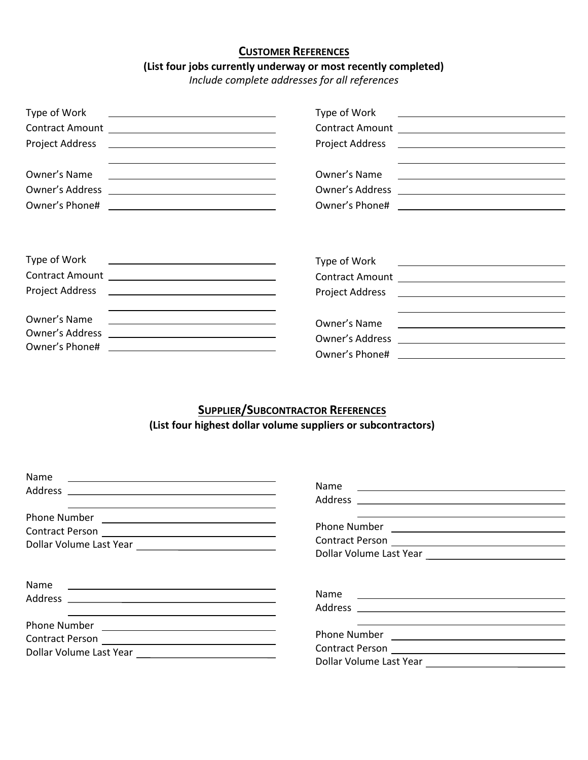### **CUSTOMER REFERENCES**

# **(List four jobs currently underway or most recently completed)**

*Include complete addresses for all references*

| Type of Work                                                                                                                                                                                                                  | Type of Work<br><u> 1989 - Andrea Andrew Maria (h. 1989).</u>                                                                                                                                                                                 |  |
|-------------------------------------------------------------------------------------------------------------------------------------------------------------------------------------------------------------------------------|-----------------------------------------------------------------------------------------------------------------------------------------------------------------------------------------------------------------------------------------------|--|
| the control of the control of the control of the control of the control of the control of the control of the control of the control of the control of the control of the control of the control of the control of the control |                                                                                                                                                                                                                                               |  |
| Owner's Name<br><u> 1989 - Johann Barn, amerikansk politiker (d. 1989)</u>                                                                                                                                                    | Owner's Name                                                                                                                                                                                                                                  |  |
|                                                                                                                                                                                                                               |                                                                                                                                                                                                                                               |  |
|                                                                                                                                                                                                                               |                                                                                                                                                                                                                                               |  |
| Type of Work<br><u> Alexandria de la contrada de la contrada de la contrada de la contrada de la contrada de la contrada de la c</u>                                                                                          | Type of Work<br><u> 1989 - Andrea Barbara, politikar politikar (h. 1989)</u>                                                                                                                                                                  |  |
|                                                                                                                                                                                                                               |                                                                                                                                                                                                                                               |  |
|                                                                                                                                                                                                                               |                                                                                                                                                                                                                                               |  |
| Owner's Name<br><u> 1989 - Johann John Stone, mars et al. (</u>                                                                                                                                                               | the control of the control of the control of the control of the control of the control of the control of the control of the control of the control of the control of the control of the control of the control of the control<br>Owner's Name |  |
| Owner's Address<br><u> 1989 - Johann Barn, fransk politik (d. 1989)</u>                                                                                                                                                       |                                                                                                                                                                                                                                               |  |
| Owner's Phone#<br><u> 1980 - Andrea Andrew Maria (h. 1980).</u>                                                                                                                                                               |                                                                                                                                                                                                                                               |  |

# **SUPPLIER/SUBCONTRACTOR REFERENCES (List four highest dollar volume suppliers or subcontractors)**

| Name                                                                                                                                                                         |                                                                                                                                     |
|------------------------------------------------------------------------------------------------------------------------------------------------------------------------------|-------------------------------------------------------------------------------------------------------------------------------------|
|                                                                                                                                                                              | <b>Name</b><br><u> Andreas Andreas Andreas Andreas Andreas Andreas Andreas Andreas Andreas Andreas Andreas Andreas Andreas Andr</u> |
| <u> 1989 - Andrea Santa Andrea Santa Andrea Santa Andrea Santa Andrea Santa Andrea Santa Andrea Santa Andrea San</u><br>Phone Number <u>________________________________</u> |                                                                                                                                     |
| Name<br><u> Alexandria de la contrada de la contrada de la contrada de la contrada de la contrada de la contrada de la c</u>                                                 | Name                                                                                                                                |
| Phone Number<br><u> 1989 - Andrea Andrew Maria (b. 1989)</u>                                                                                                                 | Dollar Volume Last Year                                                                                                             |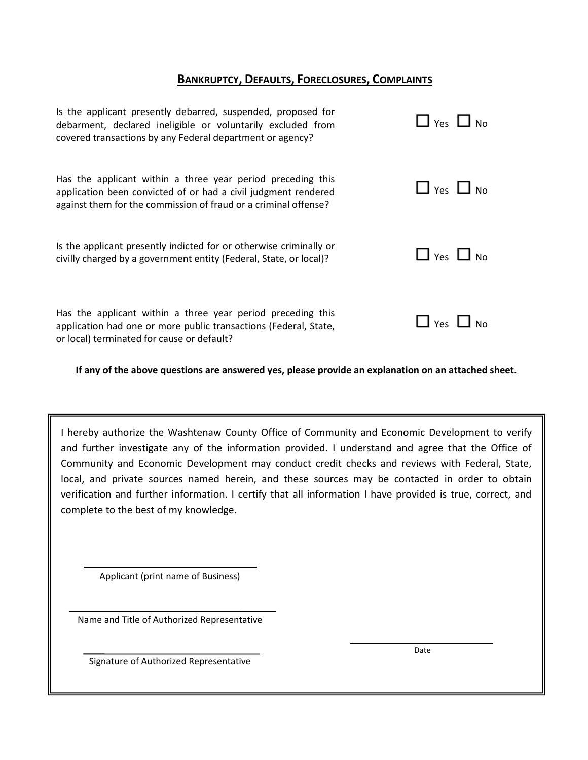### **BANKRUPTCY, DEFAULTS, FORECLOSURES, COMPLAINTS**

| Is the applicant presently debarred, suspended, proposed for<br>debarment, declared ineligible or voluntarily excluded from<br>covered transactions by any Federal department or agency?         | $\Box$ Yes $\Box$ No |
|--------------------------------------------------------------------------------------------------------------------------------------------------------------------------------------------------|----------------------|
| Has the applicant within a three year period preceding this<br>application been convicted of or had a civil judgment rendered<br>against them for the commission of fraud or a criminal offense? | $\Box$ Yes $\Box$ No |
| Is the applicant presently indicted for or otherwise criminally or<br>civilly charged by a government entity (Federal, State, or local)?                                                         | $\Box$ Yes $\Box$ No |
| Has the applicant within a three year period preceding this<br>application had one or more public transactions (Federal, State,<br>or local) terminated for cause or default?                    | $\Box$ Yes $\Box$ No |

#### **If any of the above questions are answered yes, please provide an explanation on an attached sheet.**

I hereby authorize the Washtenaw County Office of Community and Economic Development to verify and further investigate any of the information provided. I understand and agree that the Office of Community and Economic Development may conduct credit checks and reviews with Federal, State, local, and private sources named herein, and these sources may be contacted in order to obtain verification and further information. I certify that all information I have provided is true, correct, and complete to the best of my knowledge.

Applicant (print name of Business)

Name and Title of Authorized Representative

Date

Signature of Authorized Representative